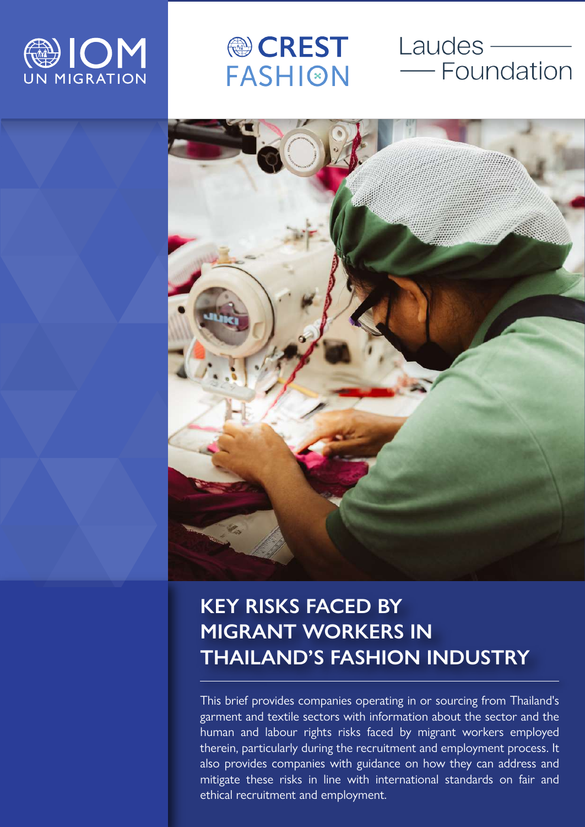

**● CREST FASHION** 

# Laudes ———<br>—— Foundation



# **KEY RISKS FACED BY MIGRANT WORKERS IN THAILAND'S FASHION INDUSTRY**

This brief provides companies operating in or sourcing from Thailand's garment and textile sectors with information about the sector and the human and labour rights risks faced by migrant workers employed therein, particularly during the recruitment and employment process. It also provides companies with guidance on how they can address and mitigate these risks in line with international standards on fair and ethical recruitment and employment.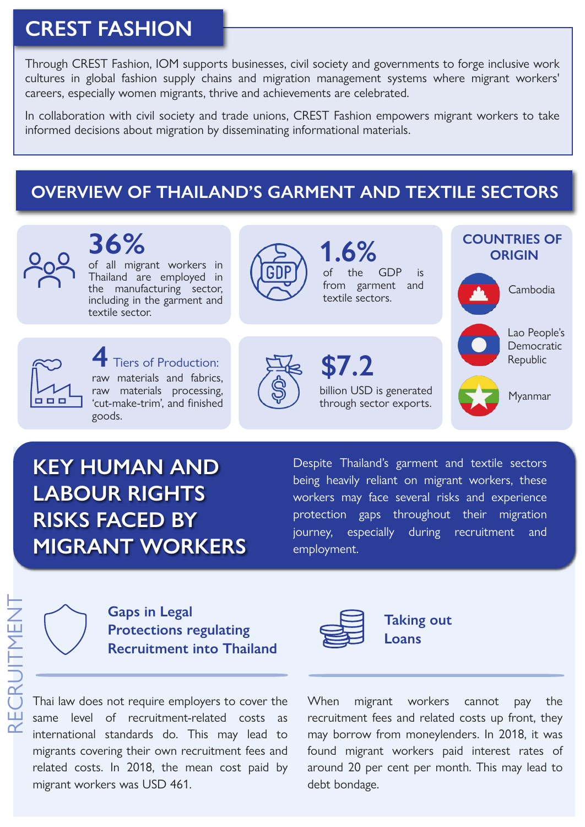# **CREST FASHION**

Through CREST Fashion, IOM supports businesses, civil society and governments to forge inclusive work cultures in global fashion supply chains and migration management systems where migrant workers' careers, especially women migrants, thrive and achievements are celebrated.

In collaboration with civil society and trade unions, CREST Fashion empowers migrant workers to take informed decisions about migration by disseminating informational materials.

#### **OVERVIEW OF THAILAND'S GARMENT AND TEXTILE SECTORS**



# **KEY HUMAN AND LABOUR RIGHTS RISKS FACED BY MIGRANT WORKERS**

Despite Thailand's garment and textile sectors being heavily reliant on migrant workers, these workers may face several risks and experience protection gaps throughout their migration journey, especially during recruitment and employment.



RECRUITMENT

CRUITMEN

#### **Gaps in Legal Protections regulating Recruitment into Thailand**

Thai law does not require employers to cover the same level of recruitment-related costs as international standards do. This may lead to migrants covering their own recruitment fees and related costs. In 2018, the mean cost paid by migrant workers was USD 461.



**Taking out Loans**

When migrant workers cannot pay the recruitment fees and related costs up front, they may borrow from moneylenders. In 2018, it was found migrant workers paid interest rates of around 20 per cent per month. This may lead to debt bondage.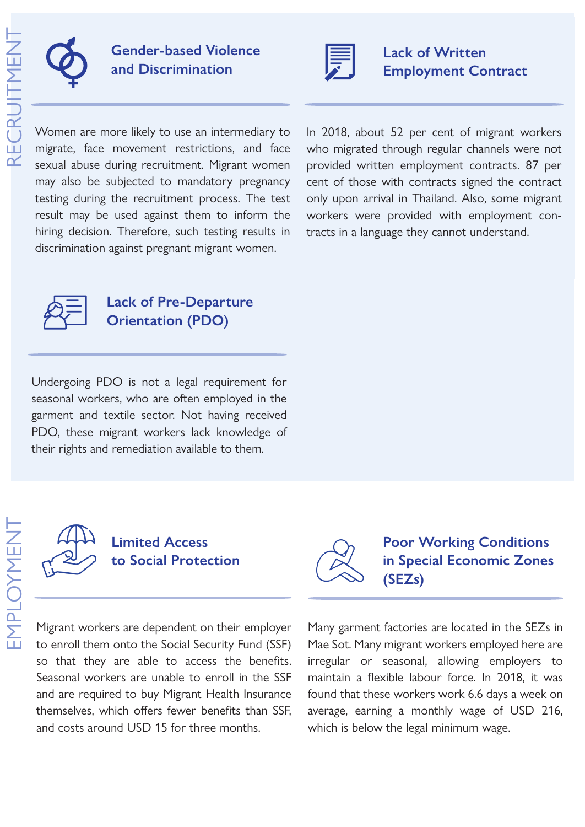

RECRUITMENT

#### **Gender-based Violence and Discrimination**



#### **Lack of Written Employment Contract**

Women are more likely to use an intermediary to migrate, face movement restrictions, and face sexual abuse during recruitment. Migrant women may also be subjected to mandatory pregnancy testing during the recruitment process. The test result may be used against them to inform the hiring decision. Therefore, such testing results in discrimination against pregnant migrant women.

In 2018, about 52 per cent of migrant workers who migrated through regular channels were not provided written employment contracts. 87 per cent of those with contracts signed the contract only upon arrival in Thailand. Also, some migrant workers were provided with employment contracts in a language they cannot understand.



#### **Lack of Pre-Departure Orientation (PDO)**

Undergoing PDO is not a legal requirement for seasonal workers, who are often employed in the garment and textile sector. Not having received PDO, these migrant workers lack knowledge of their rights and remediation available to them.



Migrant workers are dependent on their employer to enroll them onto the Social Security Fund (SSF) so that they are able to access the benefits. Seasonal workers are unable to enroll in the SSF and are required to buy Migrant Health Insurance themselves, which offers fewer benefits than SSF, and costs around USD 15 for three months.



#### **Poor Working Conditions in Special Economic Zones (SEZs)**

Many garment factories are located in the SEZs in Mae Sot. Many migrant workers employed here are irregular or seasonal, allowing employers to maintain a flexible labour force. In 2018, it was found that these workers work 6.6 days a week on average, earning a monthly wage of USD 216, which is below the legal minimum wage.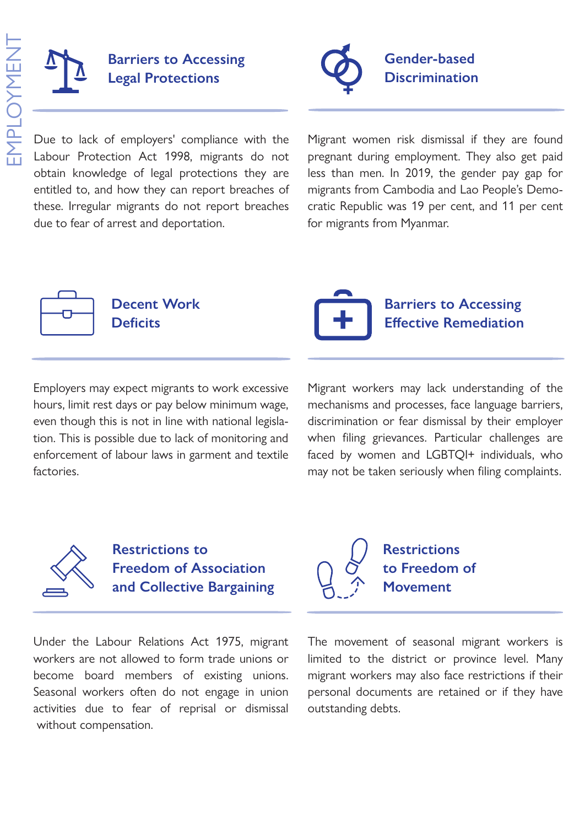

Due to lack of employers' compliance with the Labour Protection Act 1998, migrants do not obtain knowledge of legal protections they are entitled to, and how they can report breaches of these. Irregular migrants do not report breaches due to fear of arrest and deportation.



Migrant women risk dismissal if they are found pregnant during employment. They also get paid less than men. In 2019, the gender pay gap for migrants from Cambodia and Lao People's Democratic Republic was 19 per cent, and 11 per cent for migrants from Myanmar.



**Decent Work** Deficits

Employers may expect migrants to work excessive hours, limit rest days or pay below minimum wage, even though this is not in line with national legislation. This is possible due to lack of monitoring and enforcement of labour laws in garment and textile factories.

**Barriers to Accessing Effective Remediation** 

Migrant workers may lack understanding of the mechanisms and processes, face language barriers, discrimination or fear dismissal by their employer when filing grievances. Particular challenges are faced by women and LGBTQI+ individuals, who may not be taken seriously when filing complaints.

> **Restrictions to Freedom of**

**Movement**



**Restrictions to Freedom of Association and Collective Bargaining**

Under the Labour Relations Act 1975, migrant workers are not allowed to form trade unions or become board members of existing unions. Seasonal workers often do not engage in union activities due to fear of reprisal or dismissal without compensation.

The movement of seasonal migrant workers is limited to the district or province level. Many migrant workers may also face restrictions if their personal documents are retained or if they have outstanding debts.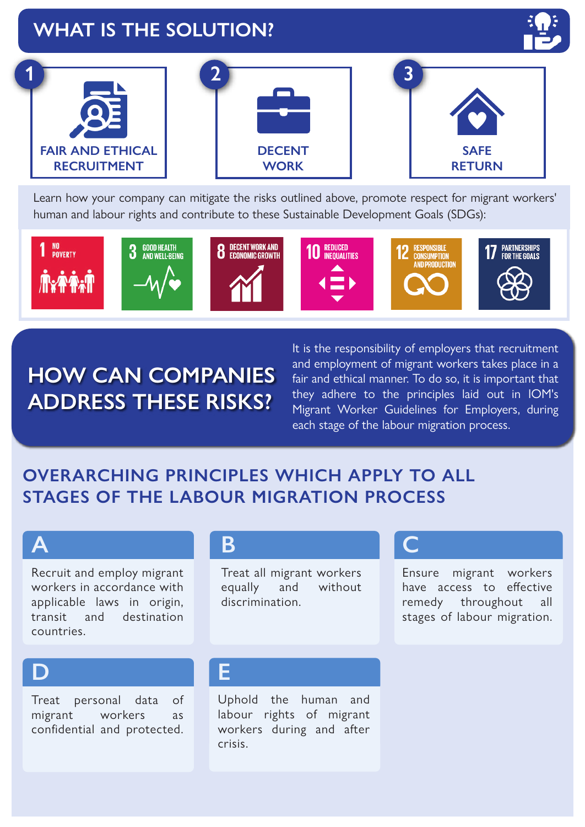# **WHAT IS THE SOLUTION?**





Learn how your company can mitigate the risks outlined above, promote respect for migrant workers' human and labour rights and contribute to these Sustainable Development Goals (SDGs):



# **HOW CAN COMPANIES ADDRESS THESE RISKS?**

It is the responsibility of employers that recruitment and employment of migrant workers takes place in a fair and ethical manner. To do so, it is important that they adhere to the principles laid out in IOM's Migrant Worker Guidelines for Employers, during each stage of the labour migration process.

#### **OVERARCHING PRINCIPLES WHICH APPLY TO ALL STAGES OF THE LABOUR MIGRATION PROCESS**

#### **A**

Recruit and employ migrant workers in accordance with applicable laws in origin, transit and destination countries.

#### **B**

Treat all migrant workers equally and without discrimination.

### **C**

Ensure migrant workers have access to effective remedy throughout all stages of labour migration.

### **D**

Treat personal data of migrant workers as confidential and protected.

#### **E**

Uphold the human and labour rights of migrant workers during and after crisis.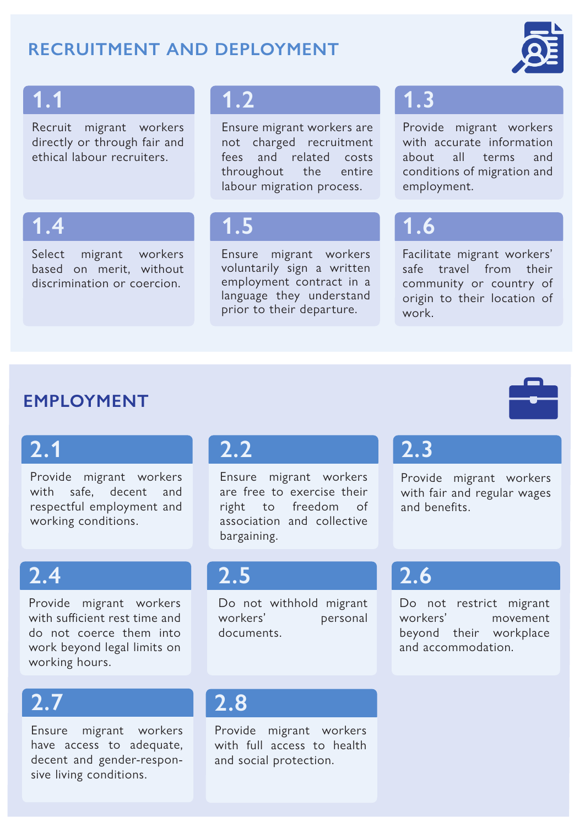#### **RECRUITMENT AND DEPLOYMENT**



# **1.1**

Recruit migrant workers directly or through fair and ethical labour recruiters.

#### **1.2**

Ensure migrant workers are not charged recruitment fees and related costs throughout the entire labour migration process.

# **1.4**

Select migrant workers based on merit, without discrimination or coercion.

#### **1.5**

Ensure migrant workers voluntarily sign a written employment contract in a language they understand prior to their departure.

### **1.3**

Provide migrant workers with accurate information about all terms and conditions of migration and employment.

# **1.6**

Facilitate migrant workers' safe travel from their community or country of origin to their location of work.

#### **EMPLOYMENT**

# **2.1**

Provide migrant workers with safe, decent and respectful employment and working conditions.

# **2.4**

Provide migrant workers with sufficient rest time and do not coerce them into work beyond legal limits on working hours.

# **2.7**

Ensure migrant workers have access to adequate, decent and gender-responsive living conditions.

#### **2.2**

Ensure migrant workers are free to exercise their right to freedom of association and collective bargaining.

# **2.3**

Provide migrant workers with fair and regular wages and benefits.

#### **2.5**

Do not withhold migrant workers' personal documents.

# **2.8**

Provide migrant workers with full access to health and social protection.

# **2.6**

Do not restrict migrant workers' movement beyond their workplace and accommodation.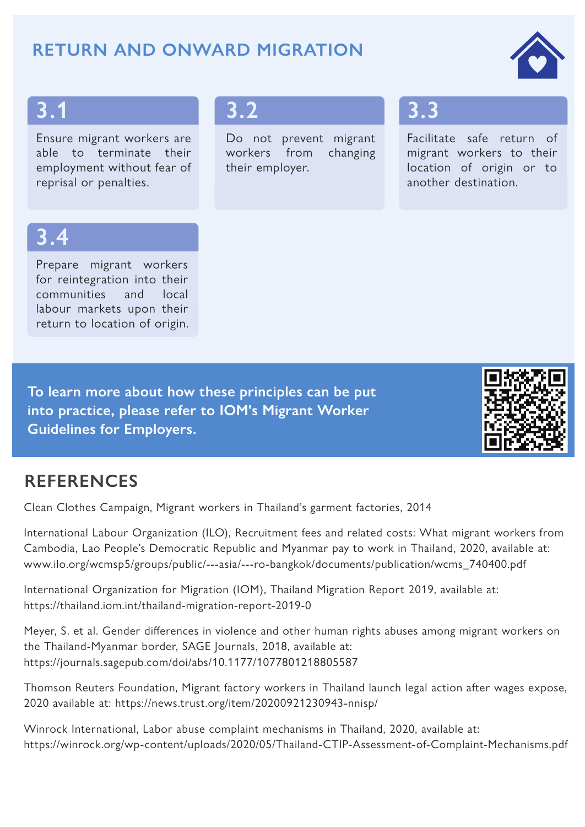#### **RETURN AND ONWARD MIGRATION**



#### **3.1**

Ensure migrant workers are able to terminate their employment without fear of reprisal or penalties.

### **3.2**

Do not prevent migrant workers from changing their employer.

# **3.3**

Facilitate safe return of migrant workers to their location of origin or to another destination.

# **3.4**

Prepare migrant workers for reintegration into their communities and local labour markets upon their return to location of origin.

**To learn more about how these principles can be put into practice, please refer to IOM's Migrant Worker Guidelines for Employers.** 



#### **REFERENCES**

Clean Clothes Campaign, Migrant workers in Thailand's garment factories, 2014

International Labour Organization (ILO), Recruitment fees and related costs: What migrant workers from Cambodia, Lao People's Democratic Republic and Myanmar pay to work in Thailand, 2020, available at: www.ilo.org/wcmsp5/groups/public/---asia/---ro-bangkok/documents/publication/wcms\_740400.pdf

International Organization for Migration (IOM), Thailand Migration Report 2019, available at: https://thailand.iom.int/thailand-migration-report-2019-0

Meyer, S. et al. Gender differences in violence and other human rights abuses among migrant workers on the Thailand-Myanmar border, SAGE Journals, 2018, available at: https://journals.sagepub.com/doi/abs/10.1177/1077801218805587

Thomson Reuters Foundation, Migrant factory workers in Thailand launch legal action after wages expose, 2020 available at: https://news.trust.org/item/20200921230943-nnisp/

Winrock International, Labor abuse complaint mechanisms in Thailand, 2020, available at: https://winrock.org/wp-content/uploads/2020/05/Thailand-CTIP-Assessment-of-Complaint-Mechanisms.pdf